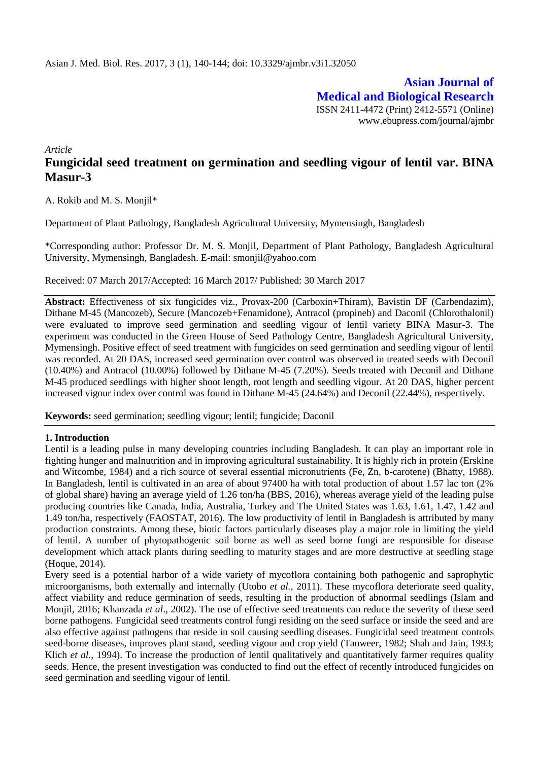**Asian Journal of Medical and Biological Research** ISSN 2411-4472 (Print) 2412-5571 (Online) www.ebupress.com/journal/ajmbr

*Article*

# **Fungicidal seed treatment on germination and seedling vigour of lentil var. BINA Masur-3**

A. Rokib and M. S. Monjil\*

Department of Plant Pathology, Bangladesh Agricultural University, Mymensingh, Bangladesh

\*Corresponding author: Professor Dr. M. S. Monjil, Department of Plant Pathology, Bangladesh Agricultural University, Mymensingh, Bangladesh. E-mail: smonjil@yahoo.com

Received: 07 March 2017/Accepted: 16 March 2017/ Published: 30 March 2017

**Abstract:** Effectiveness of six fungicides viz., Provax-200 (Carboxin+Thiram), Bavistin DF (Carbendazim), Dithane M-45 (Mancozeb), Secure (Mancozeb+Fenamidone), Antracol (propineb) and Daconil (Chlorothalonil) were evaluated to improve seed germination and seedling vigour of lentil variety BINA Masur-3. The experiment was conducted in the Green House of Seed Pathology Centre, Bangladesh Agricultural University, Mymensingh. Positive effect of seed treatment with fungicides on seed germination and seedling vigour of lentil was recorded. At 20 DAS, increased seed germination over control was observed in treated seeds with Deconil (10.40%) and Antracol (10.00%) followed by Dithane M-45 (7.20%). Seeds treated with Deconil and Dithane M-45 produced seedlings with higher shoot length, root length and seedling vigour. At 20 DAS, higher percent increased vigour index over control was found in Dithane M-45 (24.64%) and Deconil (22.44%), respectively.

**Keywords:** seed germination; seedling vigour; lentil; fungicide; Daconil

# **1. Introduction**

Lentil is a leading pulse in many developing countries including Bangladesh. It can play an important role in fighting hunger and malnutrition and in improving agricultural sustainability. It is highly rich in protein (Erskine and Witcombe, 1984) and a rich source of several essential micronutrients (Fe, Zn, b-carotene) (Bhatty, 1988). In Bangladesh, lentil is cultivated in an area of about 97400 ha with total production of about 1.57 lac ton (2% of global share) having an average yield of 1.26 ton/ha (BBS, 2016), whereas average yield of the leading pulse producing countries like Canada, India, Australia, Turkey and The United States was 1.63, 1.61, 1.47, 1.42 and 1.49 ton/ha, respectively (FAOSTAT, 2016). The low productivity of lentil in Bangladesh is attributed by many production constraints. Among these, biotic factors particularly diseases play a major role in limiting the yield of lentil. A number of phytopathogenic soil borne as well as seed borne fungi are responsible for disease development which attack plants during seedling to maturity stages and are more destructive at seedling stage (Hoque, 2014).

Every seed is a potential harbor of a wide variety of mycoflora containing both pathogenic and saprophytic microorganisms, both externally and internally (Utobo *et al.,* 2011). These mycoflora deteriorate seed quality, affect viability and reduce germination of seeds, resulting in the production of abnormal seedlings (Islam and Monjil, 2016; Khanzada *et al*., 2002). The use of effective seed treatments can reduce the severity of these seed borne pathogens. Fungicidal seed treatments control fungi residing on the seed surface or inside the seed and are also effective against pathogens that reside in soil causing seedling diseases. Fungicidal seed treatment controls seed-borne diseases, improves plant stand, seeding vigour and crop yield (Tanweer, 1982; Shah and Jain, 1993; Klich *et al.*, 1994). To increase the production of lentil qualitatively and quantitatively farmer requires quality seeds. Hence, the present investigation was conducted to find out the effect of recently introduced fungicides on seed germination and seedling vigour of lentil.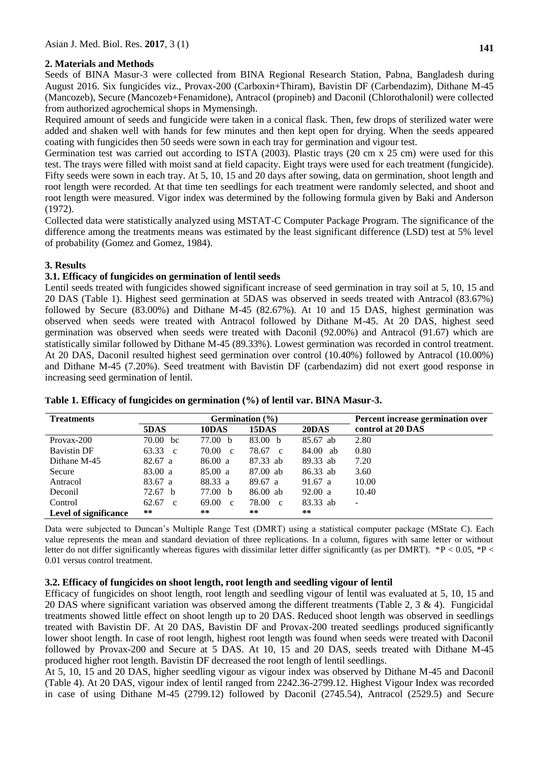# **2. Materials and Methods**

Seeds of BINA Masur-3 were collected from BINA Regional Research Station, Pabna, Bangladesh during August 2016. Six fungicides viz., Provax-200 (Carboxin+Thiram), Bavistin DF (Carbendazim), Dithane M-45 (Mancozeb), Secure (Mancozeb+Fenamidone), Antracol (propineb) and Daconil (Chlorothalonil) were collected from authorized agrochemical shops in Mymensingh.

Required amount of seeds and fungicide were taken in a conical flask. Then, few drops of sterilized water were added and shaken well with hands for few minutes and then kept open for drying. When the seeds appeared coating with fungicides then 50 seeds were sown in each tray for germination and vigour test.

Germination test was carried out according to ISTA (2003). Plastic trays (20 cm x 25 cm) were used for this test. The trays were filled with moist sand at field capacity. Eight trays were used for each treatment (fungicide). Fifty seeds were sown in each tray. At 5, 10, 15 and 20 days after sowing, data on germination, shoot length and root length were recorded. At that time ten seedlings for each treatment were randomly selected, and shoot and root length were measured. Vigor index was determined by the following formula given by Baki and Anderson (1972).

Collected data were statistically analyzed using MSTAT-C Computer Package Program. The significance of the difference among the treatments means was estimated by the least significant difference (LSD) test at 5% level of probability (Gomez and Gomez, 1984).

# **3. Results**

## **3.1. Efficacy of fungicides on germination of lentil seeds**

Lentil seeds treated with fungicides showed significant increase of seed germination in tray soil at 5, 10, 15 and 20 DAS (Table 1). Highest seed germination at 5DAS was observed in seeds treated with Antracol (83.67%) followed by Secure (83.00%) and Dithane M-45 (82.67%). At 10 and 15 DAS, highest germination was observed when seeds were treated with Antracol followed by Dithane M-45. At 20 DAS, highest seed germination was observed when seeds were treated with Daconil (92.00%) and Antracol (91.67) which are statistically similar followed by Dithane M-45 (89.33%). Lowest germination was recorded in control treatment. At 20 DAS, Daconil resulted highest seed germination over control (10.40%) followed by Antracol (10.00%) and Dithane M-45 (7.20%). Seed treatment with Bavistin DF (carbendazim) did not exert good response in increasing seed germination of lentil.

| <b>Treatments</b>            | Germination $(\% )$   |                       |                       |          | Percent increase germination over |
|------------------------------|-----------------------|-----------------------|-----------------------|----------|-----------------------------------|
|                              | 5DAS                  | 10DAS                 | 15DAS                 | 20DAS    | control at 20 DAS                 |
| Provax-200                   | 70.00<br>bc           | 77.00 <sub>b</sub>    | 83.00 b               | 85.67 ab | 2.80                              |
| <b>Bavistin DF</b>           | 63.33<br>$\mathbf{c}$ | 70.00<br>$\mathbf{c}$ | 78.67 c               | 84.00 ab | 0.80                              |
| Dithane M-45                 | 82.67 a               | 86.00 a               | 87.33 ab              | 89.33 ab | 7.20                              |
| Secure                       | 83.00 a               | 85.00 a               | 87.00 ab              | 86.33 ab | 3.60                              |
| Antracol                     | 83.67 a               | 88.33 a               | 89.67 a               | 91.67 a  | 10.00                             |
| Deconil                      | 72.67 b               | 77.00 b               | 86.00 ab              | 92.00 a  | 10.40                             |
| Control                      | 62.67<br>$\mathbf{c}$ | 69.00<br>$\mathbf{c}$ | 78.00<br>$\mathbf{c}$ | 83.33 ab | -                                 |
| <b>Level of significance</b> | **                    | **                    | **                    | **       |                                   |

# **Table 1. Efficacy of fungicides on germination (%) of lentil var. BINA Masur-3.**

Data were subjected to Duncan's Multiple Range Test (DMRT) using a statistical computer package (MState C). Each value represents the mean and standard deviation of three replications. In a column, figures with same letter or without letter do not differ significantly whereas figures with dissimilar letter differ significantly (as per DMRT). \*P < 0.05, \*P < 0.01 versus control treatment.

#### **3.2. Efficacy of fungicides on shoot length, root length and seedling vigour of lentil**

Efficacy of fungicides on shoot length, root length and seedling vigour of lentil was evaluated at 5, 10, 15 and 20 DAS where significant variation was observed among the different treatments (Table 2,  $3 \& 4$ ). Fungicidal treatments showed little effect on shoot length up to 20 DAS. Reduced shoot length was observed in seedlings treated with Bavistin DF. At 20 DAS, Bavistin DF and Provax-200 treated seedlings produced significantly lower shoot length. In case of root length, highest root length was found when seeds were treated with Daconil followed by Provax-200 and Secure at 5 DAS. At 10, 15 and 20 DAS, seeds treated with Dithane M-45 produced higher root length. Bavistin DF decreased the root length of lentil seedlings.

At 5, 10, 15 and 20 DAS, higher seedling vigour as vigour index was observed by Dithane M-45 and Daconil (Table 4). At 20 DAS, vigour index of lentil ranged from 2242.36-2799.12. Highest Vigour Index was recorded in case of using Dithane M-45 (2799.12) followed by Daconil (2745.54), Antracol (2529.5) and Secure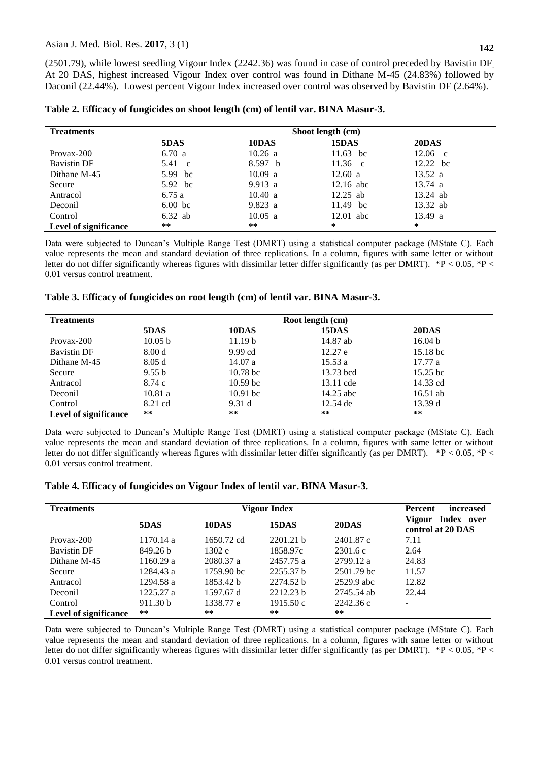(2501.79), while lowest seedling Vigour Index (2242.36) was found in case of control preceded by Bavistin DF. At 20 DAS, highest increased Vigour Index over control was found in Dithane M-45 (24.83%) followed by Daconil (22.44%). Lowest percent Vigour Index increased over control was observed by Bavistin DF (2.64%).

| <b>Treatments</b>            | Shoot length (cm) |         |                   |                   |  |  |  |
|------------------------------|-------------------|---------|-------------------|-------------------|--|--|--|
|                              | 5DAS              | 10DAS   | 15DAS             | 20DAS             |  |  |  |
| Provax-200                   | 6.70 a            | 10.26 a | 11.63 bc          | $12.06 \text{ c}$ |  |  |  |
| <b>Bavistin DF</b>           | 5.41 c            | 8.597 b | $11.36 \text{ c}$ | 12.22 bc          |  |  |  |
| Dithane M-45                 | 5.99 bc           | 10.09 a | 12.60 a           | 13.52 a           |  |  |  |
| Secure                       | 5.92 bc           | 9.913 a | $12.16$ abc       | $13.74 \text{ a}$ |  |  |  |
| Antracol                     | 6.75 a            | 10.40 a | $12.25$ ab        | $13.24$ ab        |  |  |  |
| Deconil                      | $6.00$ bc         | 9.823 a | 11.49 bc          | 13.32 ab          |  |  |  |
| Control                      | $6.32$ ab         | 10.05 a | $12.01$ abc       | 13.49 a           |  |  |  |
| <b>Level of significance</b> | **                | **      | *                 | *                 |  |  |  |

Data were subjected to Duncan's Multiple Range Test (DMRT) using a statistical computer package (MState C). Each value represents the mean and standard deviation of three replications. In a column, figures with same letter or without letter do not differ significantly whereas figures with dissimilar letter differ significantly (as per DMRT). \*P < 0.05, \*P < 0.01 versus control treatment.

## **Table 3. Efficacy of fungicides on root length (cm) of lentil var. BINA Masur-3.**

| <b>Treatments</b>     | Root length (cm)  |                     |           |                     |  |  |  |
|-----------------------|-------------------|---------------------|-----------|---------------------|--|--|--|
|                       | 5DAS              | 10DAS               | 15DAS     | 20DAS               |  |  |  |
| Provax-200            | 10.05 b           | 11.19 <sub>b</sub>  | 14.87 ab  | 16.04 <sub>b</sub>  |  |  |  |
| <b>Bavistin DF</b>    | 8.00 <sub>d</sub> | $9.99$ cd           | 12.27 e   | 15.18 <sub>bc</sub> |  |  |  |
| Dithane M-45          | 8.05d             | 14.07a              | 15.53a    | 17.77a              |  |  |  |
| Secure                | 9.55 b            | 10.78 <sub>bc</sub> | 13.73 bcd | 15.25 <sub>bc</sub> |  |  |  |
| Antracol              | 8.74 c            | 10.59 <sub>bc</sub> | 13.11 cde | 14.33 cd            |  |  |  |
| Deconil               | 10.81a            | $10.91$ bc          | 14.25 abc | $16.51$ ab          |  |  |  |
| Control               | 8.21 cd           | 9.31 d              | 12.54 de  | 13.39d              |  |  |  |
| Level of significance | **                | **                  | $***$     | $***$               |  |  |  |

Data were subjected to Duncan's Multiple Range Test (DMRT) using a statistical computer package (MState C). Each value represents the mean and standard deviation of three replications. In a column, figures with same letter or without letter do not differ significantly whereas figures with dissimilar letter differ significantly (as per DMRT). \*P < 0.05, \*P < 0.01 versus control treatment.

|  | Table 4. Efficacy of fungicides on Vigour Index of lentil var. BINA Masur-3. |  |  |  |
|--|------------------------------------------------------------------------------|--|--|--|
|  |                                                                              |  |  |  |

| <b>Treatments</b>            |                     | Percent<br><i>increased</i> |                      |            |                                           |
|------------------------------|---------------------|-----------------------------|----------------------|------------|-------------------------------------------|
|                              | 5DAS                | 10DAS                       | 15DAS                | 20DAS      | Vigour<br>Index over<br>control at 20 DAS |
| Provax-200                   | 1170.14a            | 1650.72 cd                  | 2201.21 h            | 2401.87 c  | 7.11                                      |
| <b>Bavistin DF</b>           | 849.26 b            | 1302 e                      | 1858.97c             | 2301.6c    | 2.64                                      |
| Dithane M-45                 | 1160.29 a           | 2080.37 a                   | 2457.75 a            | 2799.12 a  | 24.83                                     |
| Secure                       | 1284.43 a           | 1759.90 bc                  | 2255.37 <sub>b</sub> | 2501.79 bc | 11.57                                     |
| Antracol                     | 1294.58 a           | 1853.42 b                   | 2274.52 b            | 2529.9 abc | 12.82                                     |
| Deconil                      | 1225.27 a           | 1597.67 d                   | 2212.23 <sub>b</sub> | 2745.54 ab | 22.44                                     |
| Control                      | 911.30 <sub>b</sub> | 1338.77 e                   | 1915.50c             | 2242.36 c  | $\overline{\phantom{0}}$                  |
| <b>Level of significance</b> | $***$               | **                          | $***$                | **         |                                           |

Data were subjected to Duncan's Multiple Range Test (DMRT) using a statistical computer package (MState C). Each value represents the mean and standard deviation of three replications. In a column, figures with same letter or without letter do not differ significantly whereas figures with dissimilar letter differ significantly (as per DMRT). \*P < 0.05, \*P < 0.01 versus control treatment.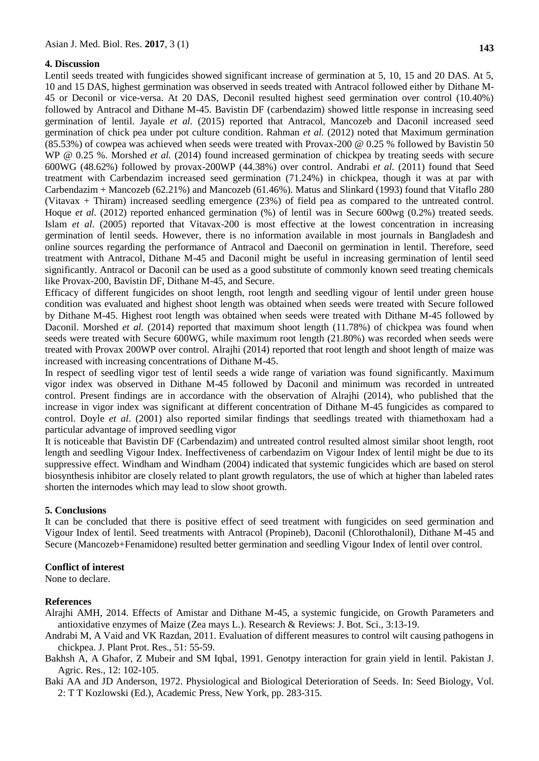## **4. Discussion**

Lentil seeds treated with fungicides showed significant increase of germination at 5, 10, 15 and 20 DAS. At 5, 10 and 15 DAS, highest germination was observed in seeds treated with Antracol followed either by Dithane M-45 or Deconil or vice-versa. At 20 DAS, Deconil resulted highest seed germination over control (10.40%) followed by Antracol and Dithane M-45. Bavistin DF (carbendazim) showed little response in increasing seed germination of lentil. Jayale *et al.* (2015) reported that Antracol, Mancozeb and Daconil increased seed germination of chick pea under pot culture condition. Rahman *et al.* (2012) noted that Maximum germination (85.53%) of cowpea was achieved when seeds were treated with Provax-200 @ 0.25 % followed by Bavistin 50 WP @ 0.25 %. Morshed *et al.* (2014) found increased germination of chickpea by treating seeds with secure 600WG (48.62%) followed by provax-200WP (44.38%) over control. Andrabi *et al.* (2011) found that Seed treatment with Carbendazim increased seed germination (71.24%) in chickpea, though it was at par with Carbendazim + Mancozeb (62.21%) and Mancozeb (61.46%). Matus and Slinkard (1993) found that Vitaflo 280 (Vitavax + Thiram) increased seedling emergence (23%) of field pea as compared to the untreated control. Hoque *et al.* (2012) reported enhanced germination (%) of lentil was in Secure 600wg (0.2%) treated seeds. Islam *et al.* (2005) reported that Vitavax-200 is most effective at the lowest concentration in increasing germination of lentil seeds. However, there is no information available in most journals in Bangladesh and online sources regarding the performance of Antracol and Daeconil on germination in lentil. Therefore, seed treatment with Antracol, Dithane M-45 and Daconil might be useful in increasing germination of lentil seed significantly. Antracol or Daconil can be used as a good substitute of commonly known seed treating chemicals like Provax-200, Bavistin DF, Dithane M-45, and Secure.

Efficacy of different fungicides on shoot length, root length and seedling vigour of lentil under green house condition was evaluated and highest shoot length was obtained when seeds were treated with Secure followed by Dithane M-45. Highest root length was obtained when seeds were treated with Dithane M-45 followed by Daconil. Morshed *et al.* (2014) reported that maximum shoot length (11.78%) of chickpea was found when seeds were treated with Secure 600WG, while maximum root length (21.80%) was recorded when seeds were treated with Provax 200WP over control. Alrajhi (2014) reported that root length and shoot length of maize was increased with increasing concentrations of Dithane M-45.

In respect of seedling vigor test of lentil seeds a wide range of variation was found significantly. Maximum vigor index was observed in Dithane M-45 followed by Daconil and minimum was recorded in untreated control. Present findings are in accordance with the observation of Alrajhi (2014), who published that the increase in vigor index was significant at different concentration of Dithane M-45 fungicides as compared to control. Doyle *et al*. (2001) also reported similar findings that seedlings treated with thiamethoxam had a particular advantage of improved seedling vigor

It is noticeable that Bavistin DF (Carbendazim) and untreated control resulted almost similar shoot length, root length and seedling Vigour Index. Ineffectiveness of carbendazim on Vigour Index of lentil might be due to its suppressive effect. Windham and Windham (2004) indicated that systemic fungicides which are based on sterol biosynthesis inhibitor are closely related to plant growth regulators, the use of which at higher than labeled rates shorten the internodes which may lead to slow shoot growth.

#### **5. Conclusions**

It can be concluded that there is positive effect of seed treatment with fungicides on seed germination and Vigour Index of lentil. Seed treatments with Antracol (Propineb), Daconil (Chlorothalonil), Dithane M-45 and Secure (Mancozeb+Fenamidone) resulted better germination and seedling Vigour Index of lentil over control.

#### **Conflict of interest**

None to declare.

#### **References**

- Alrajhi AMH, 2014. Effects of Amistar and Dithane M-45, a systemic fungicide, on Growth Parameters and antioxidative enzymes of Maize (Zea mays L.). Research & Reviews: J. Bot. Sci., 3:13-19.
- Andrabi M, A Vaid and VK Razdan, 2011. Evaluation of different measures to control wilt causing pathogens in chickpea. J. Plant Prot. Res., 51: 55-59.
- Bakhsh A, A Ghafor, Z Mubeir and SM Iqbal, 1991. Genotpy interaction for grain yield in lentil. Pakistan J. Agric. Res., 12: 102-105.

Baki AA and JD Anderson, 1972. Physiological and Biological Deterioration of Seeds*.* In: Seed Biology, Vol. 2: T T Kozlowski (Ed.), Academic Press, New York, pp. 283-315.